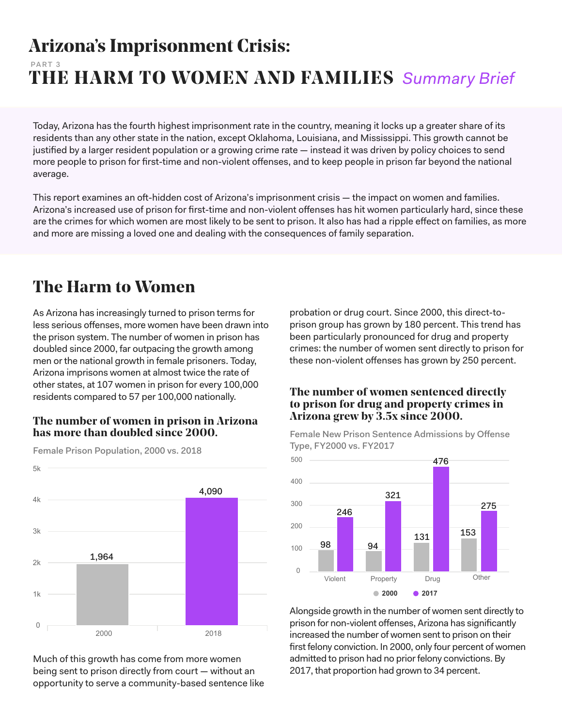## **Arizona's Imprisonment Crisis: THE HARM TO WOMEN AND FAMILIES** *Summary Brief* PART 3

Today, Arizona has the fourth highest imprisonment rate in the country, meaning it locks up a greater share of its residents than any other state in the nation, except Oklahoma, Louisiana, and Mississippi. This growth cannot be justified by a larger resident population or a growing crime rate — instead it was driven by policy choices to send more people to prison for first-time and non-violent offenses, and to keep people in prison far beyond the national average.

This report examines an oft-hidden cost of Arizona's imprisonment crisis — the impact on women and families. Arizona's increased use of prison for first-time and non-violent offenses has hit women particularly hard, since these are the crimes for which women are most likely to be sent to prison. It also has had a ripple effect on families, as more and more are missing a loved one and dealing with the consequences of family separation.

## **The Harm to Women**

As Arizona has increasingly turned to prison terms for less serious offenses, more women have been drawn into the prison system. The number of women in prison has doubled since 2000, far outpacing the growth among men or the national growth in female prisoners. Today, Arizona imprisons women at almost twice the rate of other states, at 107 women in prison for every 100,000 residents compared to 57 per 100,000 nationally.

#### **The number of women in prison in Arizona has more than doubled since 2000.**



Female Prison Population, 2000 vs. 2018

 $5k$ 

Much of this growth has come from more women being sent to prison directly from court — without an opportunity to serve a community-based sentence like probation or drug court. Since 2000, this direct-toprison group has grown by 180 percent. This trend has been particularly pronounced for drug and property crimes: the number of women sent directly to prison for these non-violent offenses has grown by 250 percent.

#### **The number of women sentenced directly to prison for drug and property crimes in Arizona grew by 3.5x since 2000.**

Female New Prison Sentence Admissions by Offense Type, FY2000 vs. FY2017



Alongside growth in the number of women sent directly to prison for non-violent offenses, Arizona has significantly increased the number of women sent to prison on their first felony conviction. In 2000, only four percent of women admitted to prison had no prior felony convictions. By 2017, that proportion had grown to 34 percent.